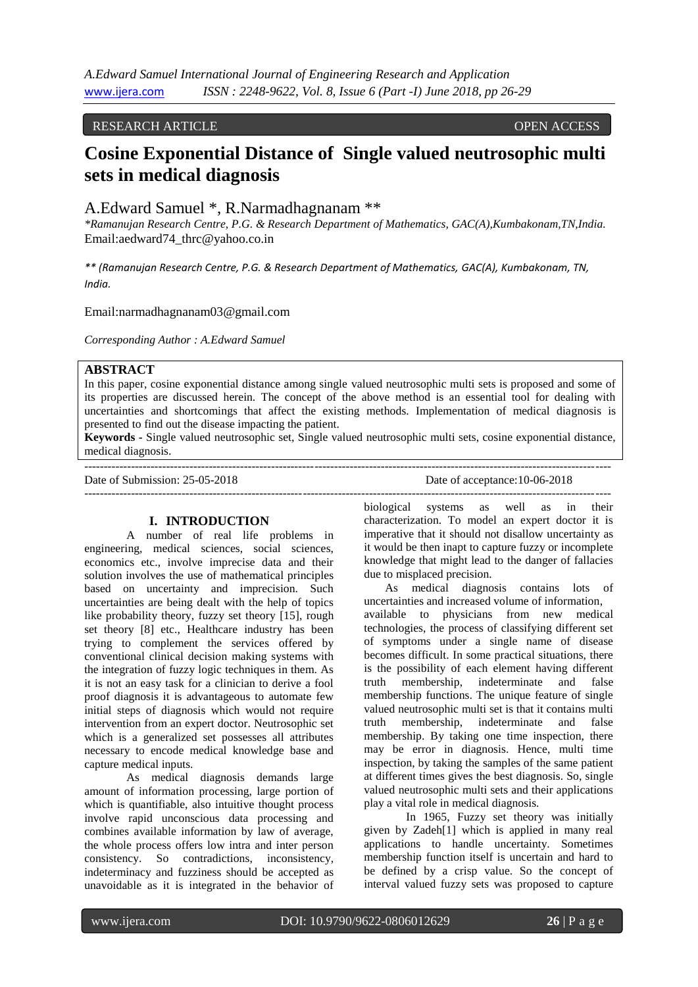# RESEARCH ARTICLE **OPEN ACCESS**

# **Cosine Exponential Distance of Single valued neutrosophic multi sets in medical diagnosis**

A.Edward Samuel \*, R.Narmadhagnanam \*\*

*\*Ramanujan Research Centre, P.G. & Research Department of Mathematics, GAC(A),Kumbakonam,TN,India.* Email:aedward74\_thrc@yahoo.co.in

*\*\* (Ramanujan Research Centre, P.G. & Research Department of Mathematics, GAC(A), Kumbakonam, TN, India.*

Email:narmadhagnanam03@gmail.com

*Corresponding Author : A.Edward Samuel*

# **ABSTRACT**

In this paper, cosine exponential distance among single valued neutrosophic multi sets is proposed and some of its properties are discussed herein. The concept of the above method is an essential tool for dealing with uncertainties and shortcomings that affect the existing methods. Implementation of medical diagnosis is presented to find out the disease impacting the patient.

**Keywords -** Single valued neutrosophic set, Single valued neutrosophic multi sets, cosine exponential distance, medical diagnosis. ---------------------------------------------------------------------------------------------------------------------------------------

---------------------------------------------------------------------------------------------------------------------------------------

Date of Submission: 25-05-2018 Date of acceptance: 10-06-2018

#### **I. INTRODUCTION**

A number of real life problems in engineering, medical sciences, social sciences, economics etc., involve imprecise data and their solution involves the use of mathematical principles based on uncertainty and imprecision. Such uncertainties are being dealt with the help of topics like probability theory, fuzzy set theory [15], rough set theory [8] etc., Healthcare industry has been trying to complement the services offered by conventional clinical decision making systems with the integration of fuzzy logic techniques in them. As it is not an easy task for a clinician to derive a fool proof diagnosis it is advantageous to automate few initial steps of diagnosis which would not require intervention from an expert doctor. Neutrosophic set which is a generalized set possesses all attributes necessary to encode medical knowledge base and capture medical inputs.

As medical diagnosis demands large amount of information processing, large portion of which is quantifiable, also intuitive thought process involve rapid unconscious data processing and combines available information by law of average, the whole process offers low intra and inter person consistency. So contradictions, inconsistency, indeterminacy and fuzziness should be accepted as unavoidable as it is integrated in the behavior of

biological systems as well as in their characterization. To model an expert doctor it is imperative that it should not disallow uncertainty as it would be then inapt to capture fuzzy or incomplete knowledge that might lead to the danger of fallacies due to misplaced precision.

As medical diagnosis contains lots of uncertainties and increased volume of information, available to physicians from new medical technologies, the process of classifying different set of symptoms under a single name of disease becomes difficult. In some practical situations, there is the possibility of each element having different truth membership, indeterminate and false membership functions. The unique feature of single valued neutrosophic multi set is that it contains multi truth membership, indeterminate and false membership. By taking one time inspection, there may be error in diagnosis. Hence, multi time inspection, by taking the samples of the same patient at different times gives the best diagnosis. So, single valued neutrosophic multi sets and their applications play a vital role in medical diagnosis.

In 1965, Fuzzy set theory was initially given by Zadeh[1] which is applied in many real applications to handle uncertainty. Sometimes membership function itself is uncertain and hard to be defined by a crisp value. So the concept of interval valued fuzzy sets was proposed to capture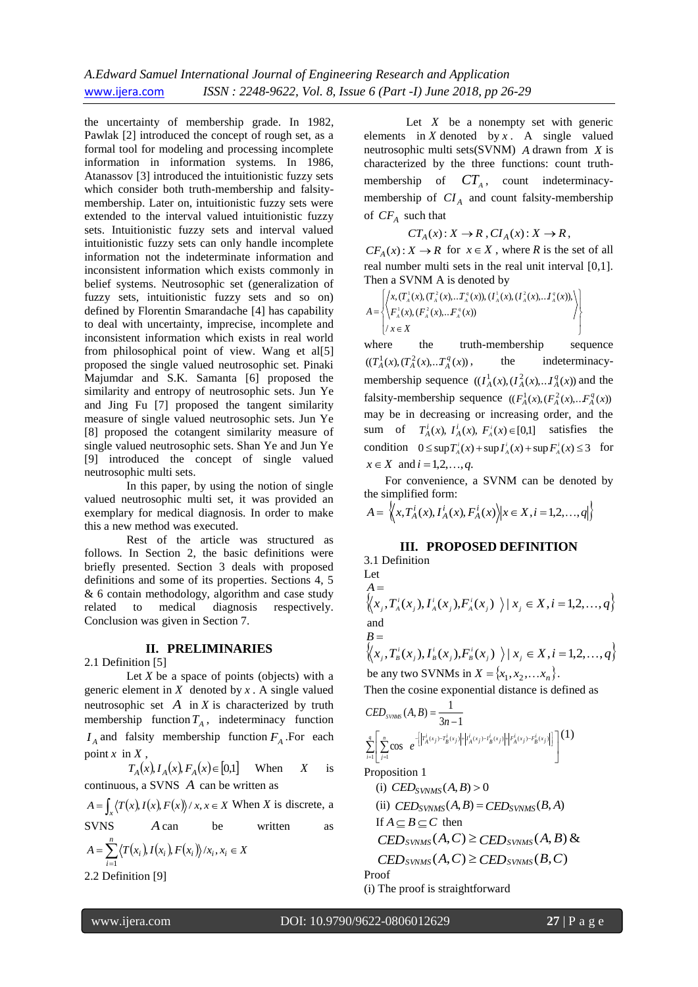the uncertainty of membership grade. In 1982, Pawlak [2] introduced the concept of rough set, as a formal tool for modeling and processing incomplete information in information systems. In 1986, Atanassov [3] introduced the intuitionistic fuzzy sets which consider both truth-membership and falsitymembership. Later on, intuitionistic fuzzy sets were extended to the interval valued intuitionistic fuzzy sets. Intuitionistic fuzzy sets and interval valued intuitionistic fuzzy sets can only handle incomplete information not the indeterminate information and inconsistent information which exists commonly in belief systems. Neutrosophic set (generalization of fuzzy sets, intuitionistic fuzzy sets and so on) defined by Florentin Smarandache [4] has capability to deal with uncertainty, imprecise, incomplete and inconsistent information which exists in real world from philosophical point of view. Wang et al[5] proposed the single valued neutrosophic set. Pinaki Majumdar and S.K. Samanta [6] proposed the similarity and entropy of neutrosophic sets. Jun Ye and Jing Fu [7] proposed the tangent similarity measure of single valued neutrosophic sets. Jun Ye [8] proposed the cotangent similarity measure of single valued neutrosophic sets. Shan Ye and Jun Ye [9] introduced the concept of single valued neutrosophic multi sets.

In this paper, by using the notion of single valued neutrosophic multi set, it was provided an exemplary for medical diagnosis. In order to make this a new method was executed.

Rest of the article was structured as follows. In Section 2, the basic definitions were briefly presented. Section 3 deals with proposed definitions and some of its properties. Sections 4, 5 & 6 contain methodology, algorithm and case study related to medical diagnosis respectively. Conclusion was given in Section 7.

## **II. PRELIMINARIES**

2.1 Definition [5]

Let  $X$  be a space of points (objects) with a generic element in  $X$  denoted by  $x$ . A single valued neutrosophic set  $A$  in  $X$  is characterized by truth membership function  $T_A$ , indeterminacy function *A I* and falsity membership function *FA* .For each point  $x$  in  $X$ ,

 $T_A(x)$ ,  $I_A(x)$ ,  $F_A(x) \in [0,1]$  When *X* is continuous, a SVNS *A* can be written as

$$
A = \int_{x} \langle T(x), I(x), F(x) \rangle / x, x \in X \text{ When } X \text{ is discrete, a}
$$
  
SVNS  
*A* can be written as

$$
A = \sum_{i=1}^{n} \langle T(x_i), I(x_i), F(x_i) \rangle / x_i, x_i \in X
$$
  
2.2 Definition [9]

Let  $X$  be a nonempty set with generic elements in  $X$  denoted by  $x$ . A single valued neutrosophic multi sets(SVNM) *A* drawn from *X* is characterized by the three functions: count truthmembership of  $CT_A$ , count indeterminacymembership of  $CI_A$  and count falsity-membership of *CF<sup>A</sup>* such that

 $CT_A(x): X \to R$ ,  $CI_A(x): X \to R$ ,

 $CF_A(x): X \to R$  for  $x \in X$ , where R is the set of all real number multi sets in the real unit interval [0,1]. Then a SVNM A is denoted by

$$
A = \begin{Bmatrix} \left\langle x, (T_A^1(x), (T_A^2(x), \ldots, T_A^q(x)), (T_A^1(x), (T_A^2(x), \ldots, T_A^q(x))), \\ F_A^1(x), (F_A^2(x), \ldots, F_A^q(x)) \\ x \in X \end{Bmatrix} \right\rangle
$$

where the truth-membership sequence  $((T_A^1(x), (T_A^2(x), T_A^q(x)))$ the indeterminacymembership sequence  $((I_A^1(x), (I_A^2(x), \ldots, I_A^q(x)))$  and the falsity-membership sequence  $((F_A^1(x), (F_A^2(x), \dots, F_A^q(x)))$ may be in decreasing or increasing order, and the sum of  $T_A^i(x)$ ,  $T_A^i(x)$ ,  $F_A^i(x) \in [0,1]$  satisfies the condition  $0 \leq \sup T_A^i(x) + \sup T_A^i(x) + \sup F_A^i(x) \leq 3$  for  $x \in X$  and  $i = 1, 2, ..., q$ .

For convenience, a SVNM can be denoted by the simplified form:

$$
A = \left\langle x, T_A^i(x), I_A^i(x), F_A^i(x) \right\rangle | x \in X, i = 1, 2, \dots, q \left| \right\rangle
$$

# **III. PROPOSED DEFINITION**

3.1 Definition Let *A*  $\left\{ (x_i, T_A^i(x_i), I_A^i(x_j), F_A^i(x_j)) \right\} | x_j \in X, i = 1, 2, ..., q \right\}$ and *B*

$$
\left\langle \langle x_j, T_s^i(x_j), I_s^i(x_j), F_s^i(x_j) \rangle \mid x_j \in X, i = 1, 2, \dots, q \right\rangle
$$
  
be any two SVMs in  $X = \{x_1, x_2, \dots, x_n\}.$ 

Then the cosine exponential distance is defined as

$$
CED_{\text{SVAMS}}(A, B) = \frac{1}{3n-1}
$$
  

$$
\sum_{i=1}^{q} \left[ \sum_{j=1}^{n} \cos \ e^{-\left[ \left| T_A^j(x_j) - T_B^j(x_j) \right| + \left| I_A^j(x_j) - I_B^j(x_j) \right| + \left| F_A^j(x_j) - F_B^j(x_j) \right| \right]} \right]^{(1)}
$$

Proposition 1

(i) 
$$
CED_{SVMMS}(A, B) > 0
$$
  
\n(ii)  $CED_{SVMMS}(A, B) = CED_{SVMMS}(B, A)$   
\nIf  $A \subseteq B \subseteq C$  then  
\n $CED_{SVMMS}(A, C) \geq CED_{SVMMS}(A, B) \&$   
\n $CED_{SVMMS}(A, C) \geq CED_{SVMMS}(B, C)$   
\nProof

(i) The proof is straightforward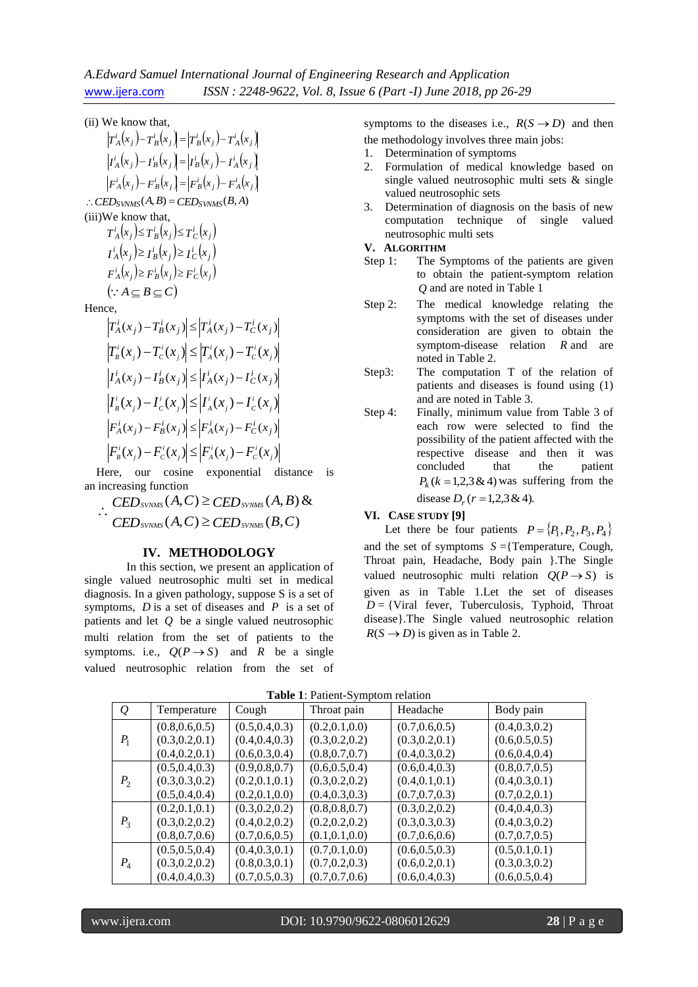#### (ii) We know that,

 $T_A^i(x_j) - T_B^i(x_j) = T_B^i(x_j) - T_A^i(x_j)$  $I^i_A(x_j) - I^i_B(x_j) = |I^i_B(x_j) - I^i_A(x_j)|$  $f^i_A(x_j) - F^i_B(x_j) = |F^i_B(x_j) - F^i_A(x_j)|$  $\therefore$  *CED* synMs<sup>(A, B)</sup> = *CED* synMs<sup>(B, A)</sup> (iii)We know that,  $T_A^i(x_j) \leq T_B^i(x_j) \leq T_C^i(x_j)$  $I_A^i(x_j) \geq I_B^i(x_j) \geq I_C^i(x_j)$  $F_A^i(x_j) \geq F_B^i(x_j) \geq F_C^i(x_j)$  $(\because A \subseteq B \subseteq C)$ Hence,  $\left| T_A^i(x_j) - T_B^i(x_j) \right| \leq \left| T_A^i(x_j) - T_C^i(x_j) \right|$  $(x_j) - T_c'(x_j) \leq |T_A'(x_j) - T_c'(x_j)|$ *i*  $j$   $\prime$   $\alpha$ *i j A i*  $j$   $\prime$   $\alpha$  $\left| T^i_{\mathcal{B}}(x_j) - T^i_{\mathcal{C}}(x_j) \right| \leq \left| T^i_{\mathcal{A}}(x_j) - T^i_{\mathcal{C}}(x) \right|$  $|I^i_A(x_j) - I^i_B(x_j)| \le |I^i_A(x_j) - I^i_C(x_j)|$ 

$$
\left| I^i_{\scriptscriptstyle B}(x_j) - I^i_{\scriptscriptstyle C}(x_j) \right| \leq \left| I^i_{\scriptscriptstyle A}(x_j) - I^i_{\scriptscriptstyle C}(x_j) \right|
$$
\n
$$
\left| F^i_{\scriptscriptstyle A}(x_j) - F^i_{\scriptscriptstyle B}(x_j) \right| \leq \left| F^i_{\scriptscriptstyle A}(x_j) - F^i_{\scriptscriptstyle C}(x_j) \right|
$$
\n
$$
\left| F^i_{\scriptscriptstyle B}(x_j) - F^i_{\scriptscriptstyle C}(x_j) \right| \leq \left| F^i_{\scriptscriptstyle A}(x_j) - F^i_{\scriptscriptstyle C}(x_j) \right|
$$

Here, our cosine exponential distance is an increasing function

 $\therefore$  *CED SVNMS*  $(A, C) \geq$  *CED SVNMS*  $(A, B)$  &  $\text{CED}_{\text{SVNMS}}(A, C) \geq \text{CED}_{\text{SVNMS}}(B, C)$ 

#### **IV. METHODOLOGY**

In this section, we present an application of single valued neutrosophic multi set in medical diagnosis. In a given pathology, suppose S is a set of symptoms,  $D$  is a set of diseases and  $P$  is a set of patients and let *Q* be a single valued neutrosophic multi relation from the set of patients to the symptoms. i.e.,  $Q(P \rightarrow S)$  and R be a single valued neutrosophic relation from the set of

symptoms to the diseases i.e.,  $R(S \rightarrow D)$  and then the methodology involves three main jobs:

- 1. Determination of symptoms
- 2. Formulation of medical knowledge based on single valued neutrosophic multi sets & single valued neutrosophic sets
- 3. Determination of diagnosis on the basis of new computation technique of single valued neutrosophic multi sets

#### **V. ALGORITHM**

- Step 1: The Symptoms of the patients are given to obtain the patient-symptom relation *Q* and are noted in Table 1
- Step 2: The medical knowledge relating the symptoms with the set of diseases under consideration are given to obtain the symptom-disease relation *R* and are noted in Table 2.
- Step3: The computation T of the relation of patients and diseases is found using (1) and are noted in Table 3.
- Step 4: Finally, minimum value from Table 3 of each row were selected to find the possibility of the patient affected with the respective disease and then it was concluded that the patient  $P_k$  ( $k = 1,2,3 \& 4$ ) was suffering from the disease  $D_r$  ( $r = 1,2,3 \& 4$ ).
- **VI. CASE STUDY [9]**

Let there be four patients  $P = \{P_1, P_2, P_3, P_4\}$ and the set of symptoms  $S = \{T$ emperature, Cough, Throat pain, Headache, Body pain }.The Single valued neutrosophic multi relation  $Q(P \rightarrow S)$  is given as in Table 1.Let the set of diseases  $D = \{V \text{iral } \text{fever,}$  Tuberculosis, Typhoid, Throat disease}.The Single valued neutrosophic relation  $R(S \rightarrow D)$  is given as in Table 2.

| $\varrho$      | Temperature     | Cough           | Throat pain     | Headache        | Body pain       |
|----------------|-----------------|-----------------|-----------------|-----------------|-----------------|
| $P_1$          | (0.8, 0.6, 0.5) | (0.5, 0.4, 0.3) | (0.2, 0.1, 0.0) | (0.7, 0.6, 0.5) | (0.4, 0.3, 0.2) |
|                | (0.3, 0.2, 0.1) | (0.4, 0.4, 0.3) | (0.3, 0.2, 0.2) | (0.3, 0.2, 0.1) | (0.6, 0.5, 0.5) |
|                | (0.4, 0.2, 0.1) | (0.6, 0.3, 0.4) | (0.8, 0.7, 0.7) | (0.4, 0.3, 0.2) | (0.6, 0.4, 0.4) |
|                | (0.5, 0.4, 0.3) | (0.9, 0.8, 0.7) | (0.6, 0.5, 0.4) | (0.6, 0.4, 0.3) | (0.8, 0.7, 0.5) |
| P <sub>2</sub> | (0.3, 0.3, 0.2) | (0.2, 0.1, 0.1) | (0.3, 0.2, 0.2) | (0.4, 0.1, 0.1) | (0.4, 0.3, 0.1) |
|                | (0.5, 0.4, 0.4) | (0.2, 0.1, 0.0) | (0.4, 0.3, 0.3) | (0.7, 0.7, 0.3) | (0.7, 0.2, 0.1) |
|                | (0.2, 0.1, 0.1) | (0.3, 0.2, 0.2) | (0.8, 0.8, 0.7) | (0.3, 0.2, 0.2) | (0.4, 0.4, 0.3) |
| $P_3$          | (0.3, 0.2, 0.2) | (0.4, 0.2, 0.2) | (0.2, 0.2, 0.2) | (0.3, 0.3, 0.3) | (0.4, 0.3, 0.2) |
|                | (0.8, 0.7, 0.6) | (0.7, 0.6, 0.5) | (0.1, 0.1, 0.0) | (0.7, 0.6, 0.6) | (0.7, 0.7, 0.5) |
| $P_4$          | (0.5, 0.5, 0.4) | (0.4, 0.3, 0.1) | (0.7, 0.1, 0.0) | (0.6, 0.5, 0.3) | (0.5, 0.1, 0.1) |
|                | (0.3, 0.2, 0.2) | (0.8, 0.3, 0.1) | (0.7, 0.2, 0.3) | (0.6, 0.2, 0.1) | (0.3, 0.3, 0.2) |
|                | (0.4, 0.4, 0.3) | (0.7, 0.5, 0.3) | (0.7, 0.7, 0.6) | (0.6, 0.4, 0.3) | (0.6, 0.5, 0.4) |